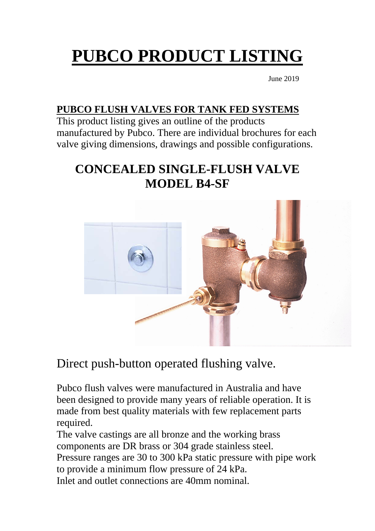# **PUBCO PRODUCT LISTING**

June 2019

#### **PUBCO FLUSH VALVES FOR TANK FED SYSTEMS**

This product listing gives an outline of the products manufactured by Pubco. There are individual brochures for each valve giving dimensions, drawings and possible configurations.

## **CONCEALED SINGLE-FLUSH VALVE MODEL B4-SF**



Direct push-button operated flushing valve.

Pubco flush valves were manufactured in Australia and have been designed to provide many years of reliable operation. It is made from best quality materials with few replacement parts required.

The valve castings are all bronze and the working brass components are DR brass or 304 grade stainless steel. Pressure ranges are 30 to 300 kPa static pressure with pipe work to provide a minimum flow pressure of 24 kPa. Inlet and outlet connections are 40mm nominal.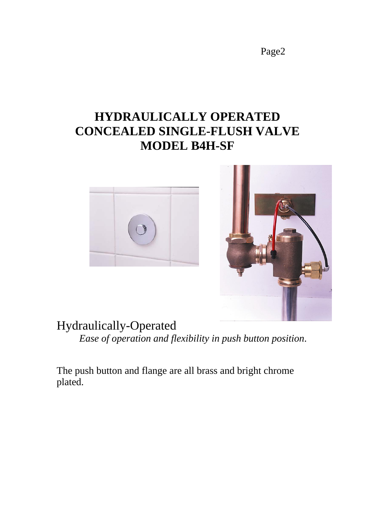## **HYDRAULICALLY OPERATED CONCEALED SINGLE-FLUSH VALVE MODEL B4H-SF**

![](_page_1_Picture_2.jpeg)

![](_page_1_Picture_3.jpeg)

## Hydraulically-Operated

*Ease of operation and flexibility in push button position*.

The push button and flange are all brass and bright chrome plated.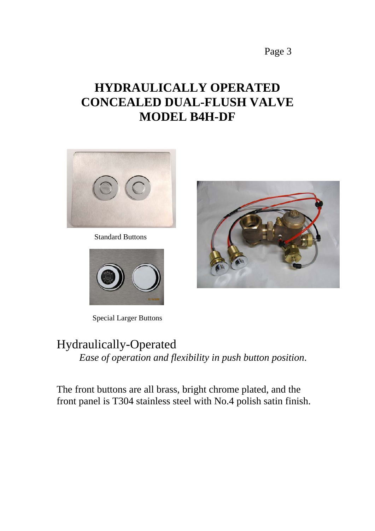## **HYDRAULICALLY OPERATED CONCEALED DUAL-FLUSH VALVE MODEL B4H-DF**

![](_page_2_Picture_2.jpeg)

Standard Buttons

![](_page_2_Picture_4.jpeg)

Special Larger Buttons

![](_page_2_Picture_6.jpeg)

## Hydraulically-Operated *Ease of operation and flexibility in push button position*.

The front buttons are all brass, bright chrome plated, and the front panel is T304 stainless steel with No.4 polish satin finish.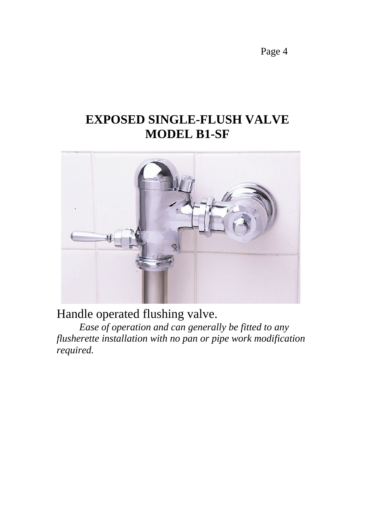## **EXPOSED SINGLE-FLUSH VALVE MODEL B1-SF**

![](_page_3_Picture_2.jpeg)

Handle operated flushing valve.

*Ease of operation and can generally be fitted to any flusherette installation with no pan or pipe work modification required.*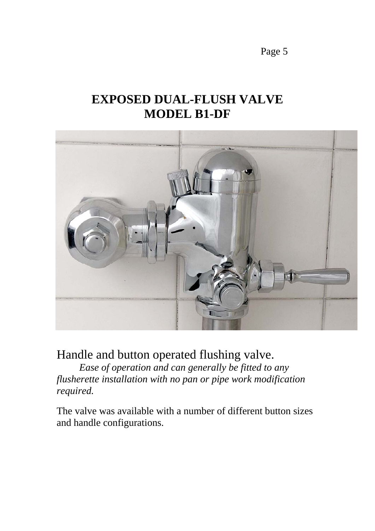# **EXPOSED DUAL-FLUSH VALVE MODEL B1-DF**

![](_page_4_Picture_2.jpeg)

Handle and button operated flushing valve.

*Ease of operation and can generally be fitted to any flusherette installation with no pan or pipe work modification required.*

The valve was available with a number of different button sizes and handle configurations.